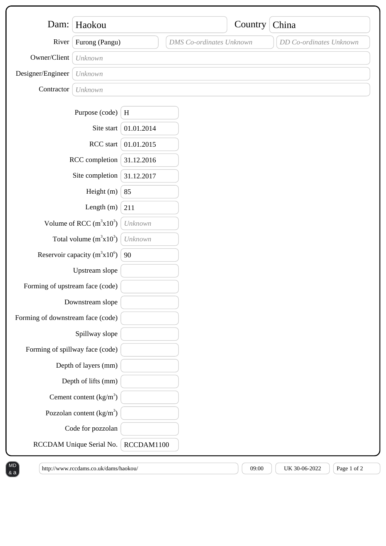| Dam:                              | Haokou                            |            |                                 | Country | China                   |
|-----------------------------------|-----------------------------------|------------|---------------------------------|---------|-------------------------|
|                                   |                                   |            |                                 |         |                         |
| River                             | Furong (Pangu)                    |            | <b>DMS</b> Co-ordinates Unknown |         | DD Co-ordinates Unknown |
| Owner/Client                      | Unknown                           |            |                                 |         |                         |
| Designer/Engineer                 | Unknown                           |            |                                 |         |                         |
| Contractor                        | Unknown                           |            |                                 |         |                         |
|                                   | Purpose (code)                    | $\,$ H     |                                 |         |                         |
|                                   | Site start                        | 01.01.2014 |                                 |         |                         |
| RCC start                         |                                   | 01.01.2015 |                                 |         |                         |
| RCC completion                    |                                   | 31.12.2016 |                                 |         |                         |
| Site completion                   |                                   | 31.12.2017 |                                 |         |                         |
| Height (m)                        |                                   | 85         |                                 |         |                         |
|                                   | Length $(m)$                      | 211        |                                 |         |                         |
| Volume of RCC $(m^3x10^3)$        |                                   | Unknown    |                                 |         |                         |
|                                   | Total volume $(m^3x10^3)$         | Unknown    |                                 |         |                         |
|                                   | Reservoir capacity $(m^3x10^6)$   | 90         |                                 |         |                         |
|                                   | Upstream slope                    |            |                                 |         |                         |
| Forming of upstream face (code)   |                                   |            |                                 |         |                         |
| Downstream slope                  |                                   |            |                                 |         |                         |
| Forming of downstream face (code) |                                   |            |                                 |         |                         |
|                                   | Spillway slope                    |            |                                 |         |                         |
| Forming of spillway face (code)   |                                   |            |                                 |         |                         |
|                                   | Depth of layers (mm)              |            |                                 |         |                         |
|                                   | Depth of lifts (mm)               |            |                                 |         |                         |
|                                   | Cement content $(kg/m3)$          |            |                                 |         |                         |
|                                   | Pozzolan content $\frac{kg}{m^3}$ |            |                                 |         |                         |
|                                   | Code for pozzolan                 |            |                                 |         |                         |
|                                   | RCCDAM Unique Serial No.          | RCCDAM1100 |                                 |         |                         |

 $\&a$